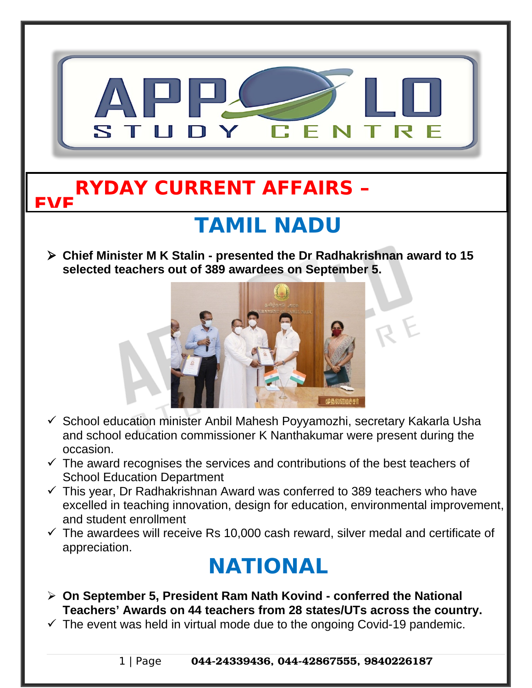

1 | Page 044-24339436, 044-42867555, 9840226187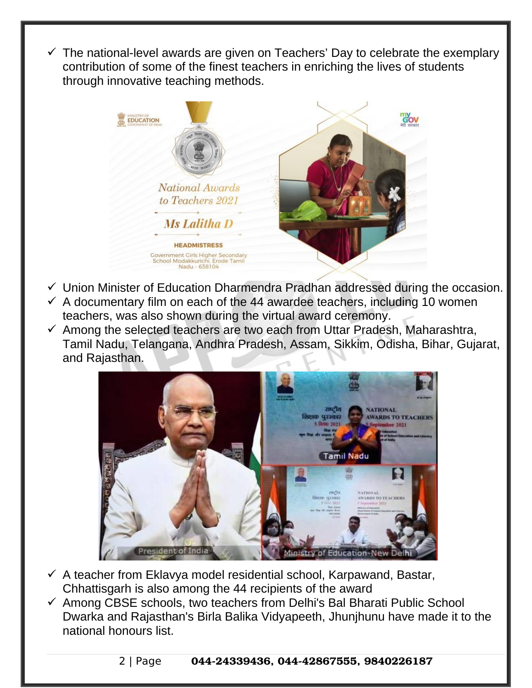The national-level awards are given on Teachers' Day to celebrate the exemplary contribution of some of the finest teachers in enriching the lives of students through innovative teaching methods.



- $\checkmark$  Union Minister of Education Dharmendra Pradhan addressed during the occasion.
- $\checkmark$  A documentary film on each of the 44 awardee teachers, including 10 women teachers, was also shown during the virtual award ceremony.
- $\checkmark$  Among the selected teachers are two each from Uttar Pradesh, Maharashtra, Tamil Nadu, Telangana, Andhra Pradesh, Assam, Sikkim, Odisha, Bihar, Gujarat, and Rajasthan.



- $\checkmark$  A teacher from Eklavya model residential school, Karpawand, Bastar, Chhattisgarh is also among the 44 recipients of the award
- $\checkmark$  Among CBSE schools, two teachers from Delhi's Bal Bharati Public School Dwarka and Rajasthan's Birla Balika Vidyapeeth, Jhunjhunu have made it to the national honours list.

2 | Page 044-24339436, 044-42867555, 9840226187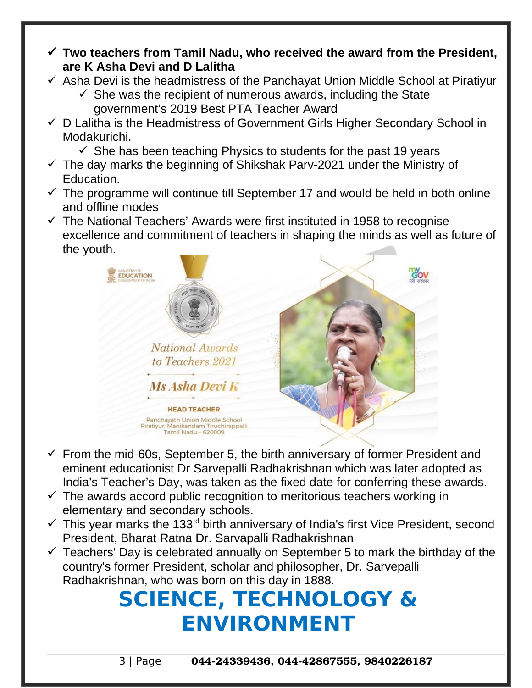- **Two teachers from Tamil Nadu, who received the award from the President, are K Asha Devi and D Lalitha**
- $\checkmark$  Asha Devi is the headmistress of the Panchayat Union Middle School at Piratiyur
	- $\checkmark$  She was the recipient of numerous awards, including the State government's 2019 Best PTA Teacher Award
- $\checkmark$  D Lalitha is the Headmistress of Government Girls Higher Secondary School in Modakurichi.
	- $\checkmark$  She has been teaching Physics to students for the past 19 years
- $\checkmark$  The day marks the beginning of Shikshak Parv-2021 under the Ministry of Education.
- $\checkmark$  The programme will continue till September 17 and would be held in both online and offline modes
- $\checkmark$  The National Teachers' Awards were first instituted in 1958 to recognise excellence and commitment of teachers in shaping the minds as well as future of the youth.



- $\checkmark$  From the mid-60s, September 5, the birth anniversary of former President and eminent educationist Dr Sarvepalli Radhakrishnan which was later adopted as India's Teacher's Day, was taken as the fixed date for conferring these awards.
- $\checkmark$  The awards accord public recognition to meritorious teachers working in elementary and secondary schools.
- $\checkmark$  This year marks the 133<sup>rd</sup> birth anniversary of India's first Vice President, second President, Bharat Ratna Dr. Sarvapalli Radhakrishnan
- $\checkmark$  Teachers' Day is celebrated annually on September 5 to mark the birthday of the country's former President, scholar and philosopher, Dr. Sarvepalli Radhakrishnan, who was born on this day in 1888.

## **SCIENCE, TECHNOLOGY & ENVIRONMENT**

3 | Page 044-24339436, 044-42867555, 9840226187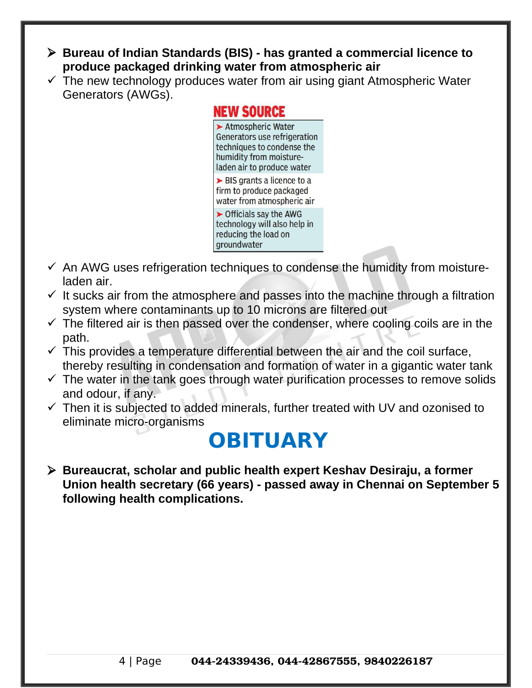- **Bureau of Indian Standards (BIS) has granted a commercial licence to produce packaged drinking water from atmospheric air**
- $\checkmark$  The new technology produces water from air using giant Atmospheric Water Generators (AWGs).

#### **NEW SOURCE**

Atmospheric Water Generators use refrigeration techniques to condense the humidity from moistureladen air to produce water  $\triangleright$  BIS grants a licence to a firm to produce packaged water from atmospheric air  $\triangleright$  Officials say the AWG technology will also help in reducing the load on groundwater

- $\checkmark$  An AWG uses refrigeration techniques to condense the humidity from moistureladen air.
- $\checkmark$  It sucks air from the atmosphere and passes into the machine through a filtration system where contaminants up to 10 microns are filtered out
- $\checkmark$  The filtered air is then passed over the condenser, where cooling coils are in the path.
- $\checkmark$  This provides a temperature differential between the air and the coil surface, thereby resulting in condensation and formation of water in a gigantic water tank
- $\checkmark$  The water in the tank goes through water purification processes to remove solids and odour, if any.
- $\checkmark$  Then it is subjected to added minerals, further treated with UV and ozonised to eliminate micro-organisms

### **OBITUARY**

 **Bureaucrat, scholar and public health expert Keshav Desiraju, a former Union health secretary (66 years) - passed away in Chennai on September 5 following health complications.**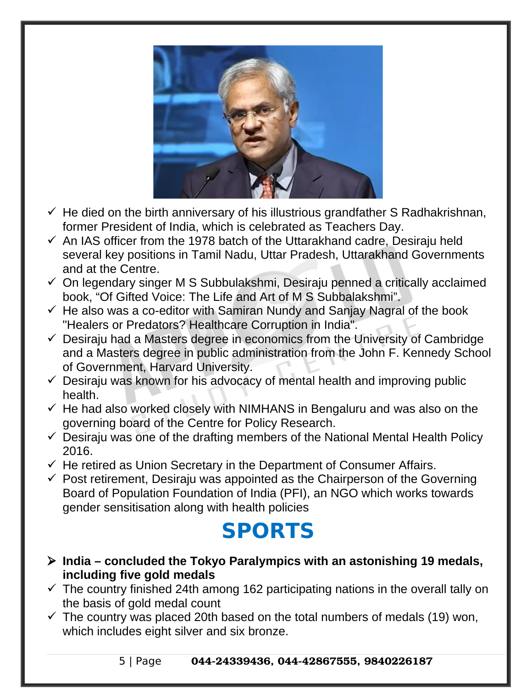

- $\checkmark$  He died on the birth anniversary of his illustrious grandfather S Radhakrishnan, former President of India, which is celebrated as Teachers Day.
- $\checkmark$  An IAS officer from the 1978 batch of the Uttarakhand cadre, Desiraju held several key positions in Tamil Nadu, Uttar Pradesh, Uttarakhand Governments and at the Centre.
- $\checkmark$  On legendary singer M S Subbulakshmi, Desiraju penned a critically acclaimed book, "Of Gifted Voice: The Life and Art of M S Subbalakshmi".
- $\checkmark$  He also was a co-editor with Samiran Nundy and Sanjay Nagral of the book "Healers or Predators? Healthcare Corruption in India".
- $\checkmark$  Desiraju had a Masters degree in economics from the University of Cambridge and a Masters degree in public administration from the John F. Kennedy School of Government, Harvard University.
- $\checkmark$  Desiraju was known for his advocacy of mental health and improving public health.
- $\checkmark$  He had also worked closely with NIMHANS in Bengaluru and was also on the governing board of the Centre for Policy Research.
- $\checkmark$  Desiraju was one of the drafting members of the National Mental Health Policy 2016.
- $\checkmark$  He retired as Union Secretary in the Department of Consumer Affairs.
- $\checkmark$  Post retirement, Desiraju was appointed as the Chairperson of the Governing Board of Population Foundation of India (PFI), an NGO which works towards gender sensitisation along with health policies

# **SPORTS**

- **India concluded the Tokyo Paralympics with an astonishing 19 medals, including five gold medals**
- $\checkmark$  The country finished 24th among 162 participating nations in the overall tally on the basis of gold medal count
- $\checkmark$  The country was placed 20th based on the total numbers of medals (19) won, which includes eight silver and six bronze.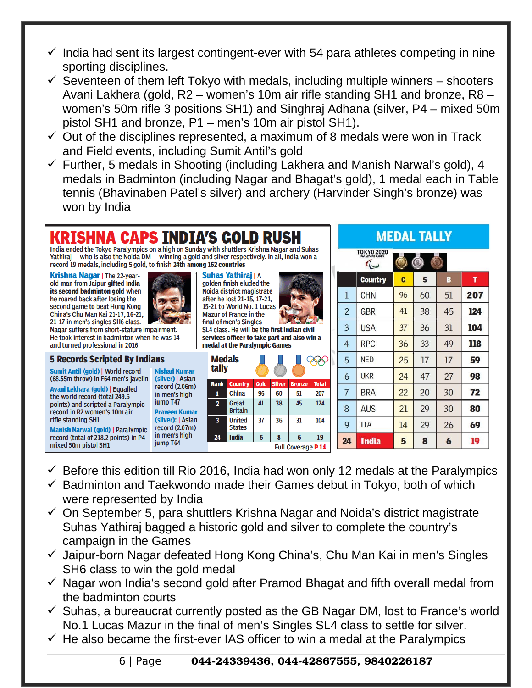- $\checkmark$  India had sent its largest contingent-ever with 54 para athletes competing in nine sporting disciplines.
- $\checkmark$  Seventeen of them left Tokyo with medals, including multiple winners shooters Avani Lakhera (gold, R2 – women's 10m air rifle standing SH1 and bronze, R8 – women's 50m rifle 3 positions SH1) and Singhraj Adhana (silver, P4 – mixed 50m pistol SH1 and bronze, P1 – men's 10m air pistol SH1).
- $\checkmark$  Out of the disciplines represented, a maximum of 8 medals were won in Track and Field events, including Sumit Antil's gold
- $\checkmark$  Further, 5 medals in Shooting (including Lakhera and Manish Narwal's gold), 4 medals in Badminton (including Nagar and Bhagat's gold), 1 medal each in Table tennis (Bhavinaben Patel's silver) and archery (Harvinder Singh's bronze) was won by India

#### Krishna Caps India's gold Rush

India ended the Tokyo Paralympics on a high on Sunday with shuttlers Krishna Nagar and Suhas Yathiraj - who is also the Noida DM - winning a gold and silver respectively. In all, India won a record 19 medals, including 5 gold, to finish 24th among 162 countries

**Krishna Nagar | The 22-year**old man from Jaipur gifted India its second badminton gold when he roared back after losing the second game to beat Hong Kong China's Chu Man Kai 21-17, 16-21, 21-17 in men's singles SH6 class.



#### **5 Records Scripted By Indians**

Sumit Antil (gold) | World record (68.55m throw) in F64 men's javelin

Avani Lekhara (gold) | Equalled the world record (total 249.6 points) and scripted a Paralympic record in R2 women's 10m air rifle standing SH1

**Manish Narwal (gold) | Paralympic** record (total of 218.2 points) in P4 mixed 50m pistol SH1

**Nishad Kumar** (silver) | Asian record (2.06m) in men's high jump T47 **Praveen Kumar** (silver): | Asian record (2.07m) in men's high jump T64



**Mazur of France in the** final of men's Singles SL4 class. He will be the first Indian civil services officer to take part and also win a medal at the Paralympic Games

| <b>Medals</b><br>tally   |                                |      |               |               |              |  |
|--------------------------|--------------------------------|------|---------------|---------------|--------------|--|
| <b>Rank</b>              | <b>Country</b>                 | Gold | <b>Silver</b> | <b>Bronze</b> | <b>Total</b> |  |
|                          | China                          | 96   | 60            | 51            | 207          |  |
| $\overline{\mathbf{z}}$  | <b>Great</b><br><b>Britain</b> | 41   | 38            | 45            | 124          |  |
| 3                        | <b>United</b><br><b>States</b> | 37   | 36            | 31            | 104          |  |
| 24                       | <b>India</b>                   | 5    | 8             | 6             | 19           |  |
| <b>Full Coverage P14</b> |                                |      |               |               |              |  |

**MEDAL TALLY** 

|                         | TOKYO 2020<br><b>PARALYMPIC GAMES</b><br>⊮ |    |              |    |     |
|-------------------------|--------------------------------------------|----|--------------|----|-----|
|                         | Country                                    | G  | $\mathbf{s}$ | B  | T   |
| $\mathbf{I}$            | <b>CHN</b>                                 | 96 | 60           | 51 | 207 |
| $\overline{2}$          | <b>GBR</b>                                 | 41 | 38           | 45 | 124 |
| $\overline{\mathbf{3}}$ | <b>USA</b>                                 | 37 | 36           | 31 | 104 |
| $\overline{4}$          | <b>RPC</b>                                 | 36 | 33           | 49 | 118 |
| 5                       | <b>NED</b>                                 | 25 | 17           | 17 | 59  |
| 6                       | <b>UKR</b>                                 | 24 | 47           | 27 | 98  |
| $\overline{7}$          | BRA                                        | 22 | 20           | 30 | 72  |
| 8                       | <b>AUS</b>                                 | 21 | 29           | 30 | 80  |
| 9                       | <b>ITA</b>                                 | 14 | 29           | 26 | 69  |
| 24                      | <b>India</b>                               | 5  | 8            | 6  | 19  |

- $\checkmark$  Before this edition till Rio 2016, India had won only 12 medals at the Paralympics
- $\checkmark$  Badminton and Taekwondo made their Games debut in Tokyo, both of which were represented by India
- $\checkmark$  On September 5, para shuttlers Krishna Nagar and Noida's district magistrate Suhas Yathiraj bagged a historic gold and silver to complete the country's campaign in the Games
- $\checkmark$  Jaipur-born Nagar defeated Hong Kong China's, Chu Man Kai in men's Singles SH6 class to win the gold medal
- $\checkmark$  Nagar won India's second gold after Pramod Bhagat and fifth overall medal from the badminton courts
- $\checkmark$  Suhas, a bureaucrat currently posted as the GB Nagar DM, lost to France's world No.1 Lucas Mazur in the final of men's Singles SL4 class to settle for silver.
- $\checkmark$  He also became the first-ever IAS officer to win a medal at the Paralympics